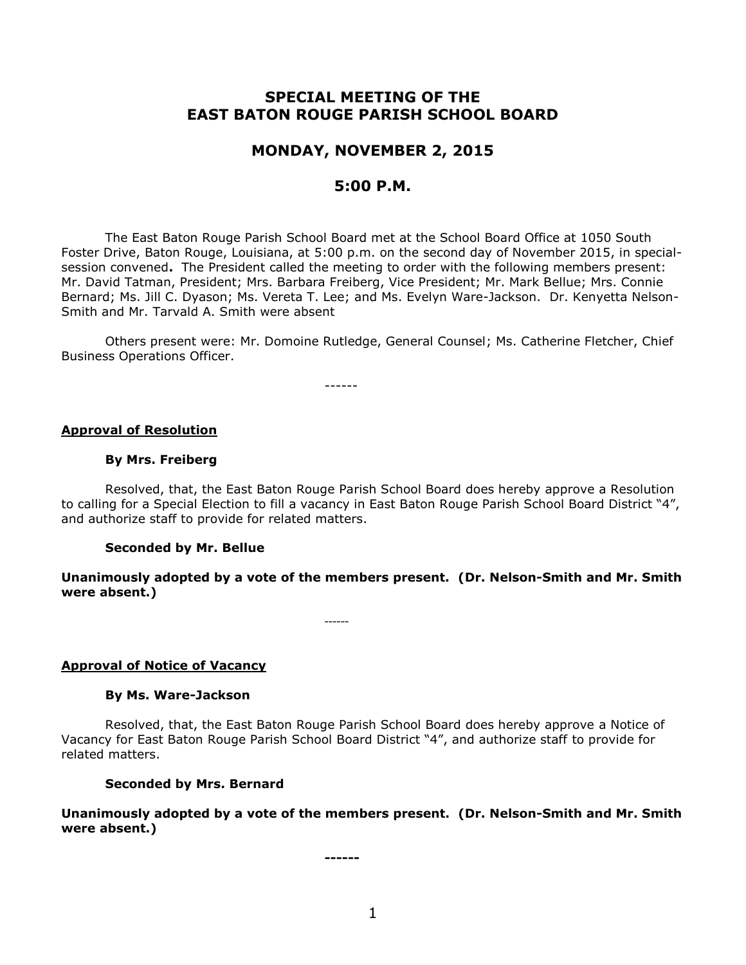# **SPECIAL MEETING OF THE EAST BATON ROUGE PARISH SCHOOL BOARD**

# **MONDAY, NOVEMBER 2, 2015**

## **5:00 P.M.**

The East Baton Rouge Parish School Board met at the School Board Office at 1050 South Foster Drive, Baton Rouge, Louisiana, at 5:00 p.m. on the second day of November 2015, in specialsession convened**.** The President called the meeting to order with the following members present: Mr. David Tatman, President; Mrs. Barbara Freiberg, Vice President; Mr. Mark Bellue; Mrs. Connie Bernard; Ms. Jill C. Dyason; Ms. Vereta T. Lee; and Ms. Evelyn Ware-Jackson. Dr. Kenyetta Nelson-Smith and Mr. Tarvald A. Smith were absent

Others present were: Mr. Domoine Rutledge, General Counsel; Ms. Catherine Fletcher, Chief Business Operations Officer.

------

#### **Approval of Resolution**

#### **By Mrs. Freiberg**

Resolved, that, the East Baton Rouge Parish School Board does hereby approve a Resolution to calling for a Special Election to fill a vacancy in East Baton Rouge Parish School Board District "4", and authorize staff to provide for related matters.

### **Seconded by Mr. Bellue**

**Unanimously adopted by a vote of the members present. (Dr. Nelson-Smith and Mr. Smith were absent.)**

------

**Approval of Notice of Vacancy**

#### **By Ms. Ware-Jackson**

Resolved, that, the East Baton Rouge Parish School Board does hereby approve a Notice of Vacancy for East Baton Rouge Parish School Board District "4", and authorize staff to provide for related matters.

### **Seconded by Mrs. Bernard**

**Unanimously adopted by a vote of the members present. (Dr. Nelson-Smith and Mr. Smith were absent.)**

**------**